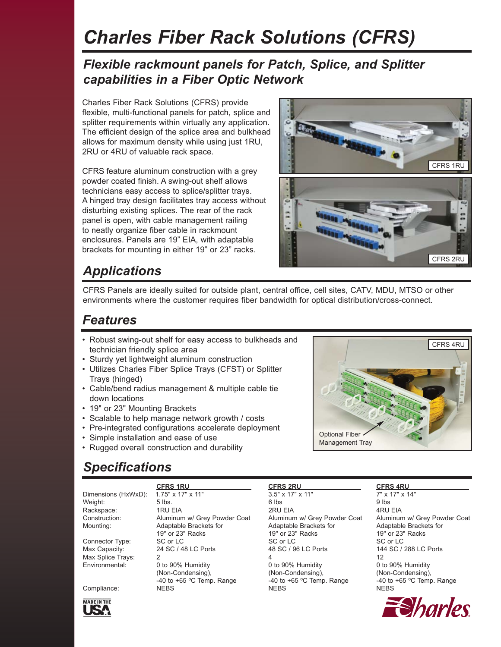# *Charles Fiber Rack Solutions (CFRS)*

#### *Flexible rackmount panels for Patch, Splice, and Splitter capabilities in a Fiber Optic Network*

Charles Fiber Rack Solutions (CFRS) provide flexible, multi-functional panels for patch, splice and splitter requirements within virtually any application. The efficient design of the splice area and bulkhead allows for maximum density while using just 1RU, 2RU or 4RU of valuable rack space.

CFRS feature aluminum construction with a grey powder coated finish. A swing-out shelf allows technicians easy access to splice/splitter trays. A hinged tray design facilitates tray access without disturbing existing splices. The rear of the rack panel is open, with cable management railing to neatly organize fiber cable in rackmount enclosures. Panels are 19" EIA, with adaptable brackets for mounting in either 19" or 23" racks.



## *Applications*

CFRS Panels are ideally suited for outside plant, central office, cell sites, CATV, MDU, MTSO or other environments where the customer requires fiber bandwidth for optical distribution/cross-connect.

#### *Features*

- Robust swing-out shelf for easy access to bulkheads and technician friendly splice area
- Sturdy yet lightweight aluminum construction
- Utilizes Charles Fiber Splice Trays (CFST) or Splitter Trays (hinged)
- Cable/bend radius management & multiple cable tie down locations
- 19" or 23" Mounting Brackets
- Scalable to help manage network growth / costs
- Pre-integrated configurations accelerate deployment
- Simple installation and ease of use
- Rugged overall construction and durability



## *Specifications*

Dimensions (HxWxD): 1.75" x 17" x 11" 3.5" x 17" x 11" 7" x 17" x 14" Weight: 5 lbs. 6 lbs 9 lbs Rackspace: 1RU EIA 2RU EIA 4RU EIA Construction: Aluminum w/ Grey Powder Coat Aluminum w/ Grey Powder Coat Aluminum w/ Grey Powder Coat Mounting: Adaptable Brackets for Adaptable Brackets for Adaptable Brackets for Adaptable Brackets for<br>19" or 23" Racks 19" or 23" Racks 19" or 23" Racks 19" or 23" Racks Connector Type: SC or LC SC or LC SC or LC SC or LC SC or LC<br>
Max Capacity: 24 SC / 48 LC Ports 48 SC / 96 LC Ports 144 SC / 288 LC Ports Max Capacity: 24 SC / 48 LC Ports 48 SC / 96 LC Ports Max Splice Trays: 2 4 12 0 to 90% Humidity  $0$  to 90% Humidity  $0$  to 90% Humidity  $0$  to 90% Humidity (Non-Condensing), (Non-Condensing), (Non-Condensing), (Non-Condensing), (Non-Condensing), (Non-Condensing), (Apple 10 +65 °C Temple 10 +65 °C Temple 10 +65 °C Temple 10 +65 °C Temple 10 +65 °C Temple 10 +65 °C Temple 10 +6  $-40$  to  $+65$  °C Temp. Range  $-40$  to  $+65$  °C Temp. Range  $-40$  to  $+65$  °C Temp. Range

 **CFRS 1RU CFRS 2RU CFRS 4RU**  Compliance: NEBS NEBS NEBS

19" or 23" Racks 19" or 23" Racks 19" or 23" Racks